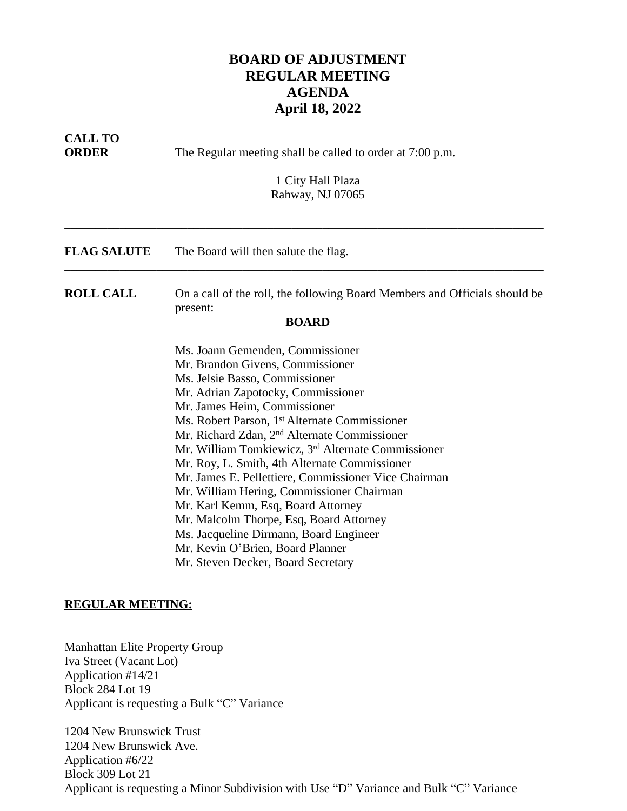## **BOARD OF ADJUSTMENT REGULAR MEETING AGENDA April 18, 2022**

| <b>CALL TO</b><br><b>ORDER</b> | The Regular meeting shall be called to order at 7:00 p.m.<br>1 City Hall Plaza<br>Rahway, NJ 07065                                                                                                                                                                                                                                                                                                                                                                                                                                                                                                                                                                                                                     |
|--------------------------------|------------------------------------------------------------------------------------------------------------------------------------------------------------------------------------------------------------------------------------------------------------------------------------------------------------------------------------------------------------------------------------------------------------------------------------------------------------------------------------------------------------------------------------------------------------------------------------------------------------------------------------------------------------------------------------------------------------------------|
| <b>FLAG SALUTE</b>             | The Board will then salute the flag.                                                                                                                                                                                                                                                                                                                                                                                                                                                                                                                                                                                                                                                                                   |
| <b>ROLL CALL</b>               | On a call of the roll, the following Board Members and Officials should be<br>present:<br><b>BOARD</b>                                                                                                                                                                                                                                                                                                                                                                                                                                                                                                                                                                                                                 |
|                                | Ms. Joann Gemenden, Commissioner<br>Mr. Brandon Givens, Commissioner<br>Ms. Jelsie Basso, Commissioner<br>Mr. Adrian Zapotocky, Commissioner<br>Mr. James Heim, Commissioner<br>Ms. Robert Parson, 1 <sup>st</sup> Alternate Commissioner<br>Mr. Richard Zdan, 2 <sup>nd</sup> Alternate Commissioner<br>Mr. William Tomkiewicz, 3rd Alternate Commissioner<br>Mr. Roy, L. Smith, 4th Alternate Commissioner<br>Mr. James E. Pellettiere, Commissioner Vice Chairman<br>Mr. William Hering, Commissioner Chairman<br>Mr. Karl Kemm, Esq, Board Attorney<br>Mr. Malcolm Thorpe, Esq, Board Attorney<br>Ms. Jacqueline Dirmann, Board Engineer<br>Mr. Kevin O'Brien, Board Planner<br>Mr. Steven Decker, Board Secretary |

## **REGULAR MEETING:**

Manhattan Elite Property Group Iva Street (Vacant Lot) Application #14/21 Block 284 Lot 19 Applicant is requesting a Bulk "C" Variance

1204 New Brunswick Trust 1204 New Brunswick Ave. Application #6/22 Block 309 Lot 21 Applicant is requesting a Minor Subdivision with Use "D" Variance and Bulk "C" Variance